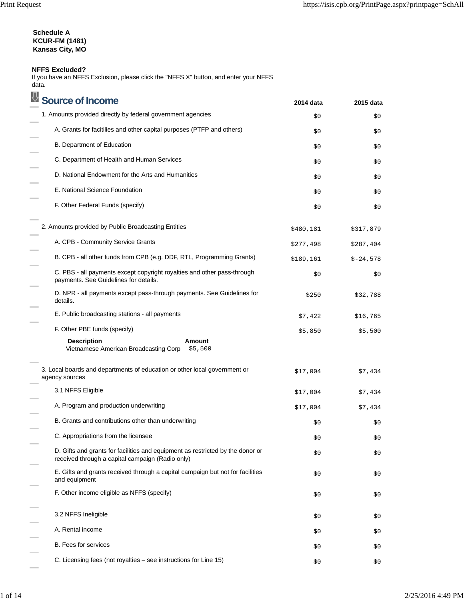# **Schedule A KCUR-FM (1481) Kansas City, MO**

# **NFFS Excluded?**

If you have an NFFS Exclusion, please click the "NFFS X" button, and enter your NFFS data.

| <b>Source of Income</b>                                                                                                            | 2014 data | 2015 data  |
|------------------------------------------------------------------------------------------------------------------------------------|-----------|------------|
| 1. Amounts provided directly by federal government agencies                                                                        | \$0       | \$0        |
| A. Grants for facitilies and other capital purposes (PTFP and others)                                                              | \$0       | \$0        |
| B. Department of Education                                                                                                         | \$0       | \$0        |
| C. Department of Health and Human Services                                                                                         | \$0       | \$0        |
| D. National Endowment for the Arts and Humanities                                                                                  | \$0       | \$0        |
| E. National Science Foundation                                                                                                     | \$0       | \$0        |
| F. Other Federal Funds (specify)                                                                                                   | \$0       | \$0        |
| 2. Amounts provided by Public Broadcasting Entities                                                                                | \$480,181 | \$317,879  |
| A. CPB - Community Service Grants                                                                                                  | \$277,498 | \$287,404  |
| B. CPB - all other funds from CPB (e.g. DDF, RTL, Programming Grants)                                                              | \$189,161 | $$-24,578$ |
| C. PBS - all payments except copyright royalties and other pass-through<br>payments. See Guidelines for details.                   | \$0       | \$0        |
| D. NPR - all payments except pass-through payments. See Guidelines for<br>details.                                                 | \$250     | \$32,788   |
| E. Public broadcasting stations - all payments                                                                                     | \$7,422   | \$16,765   |
| F. Other PBE funds (specify)                                                                                                       | \$5,850   | \$5,500    |
| <b>Description</b><br>Amount<br>Vietnamese American Broadcasting Corp<br>\$5,500                                                   |           |            |
| 3. Local boards and departments of education or other local government or<br>agency sources                                        | \$17,004  | \$7,434    |
| 3.1 NFFS Eligible                                                                                                                  | \$17,004  | \$7,434    |
| A. Program and production underwriting                                                                                             | \$17,004  | \$7,434    |
| B. Grants and contributions other than underwriting                                                                                | \$0       | \$0        |
| C. Appropriations from the licensee                                                                                                | \$0       | \$0\$      |
| D. Gifts and grants for facilities and equipment as restricted by the donor or<br>received through a capital campaign (Radio only) | \$0       | \$0\$      |
| E. Gifts and grants received through a capital campaign but not for facilities<br>and equipment                                    | \$0       | \$0        |
| F. Other income eligible as NFFS (specify)                                                                                         | \$0       | \$0        |
| 3.2 NFFS Ineligible                                                                                                                | \$0       | \$0        |
| A. Rental income                                                                                                                   | \$0       | \$0        |
| <b>B.</b> Fees for services                                                                                                        | \$0       | \$0        |
| C. Licensing fees (not royalties – see instructions for Line 15)                                                                   | \$0       | \$0        |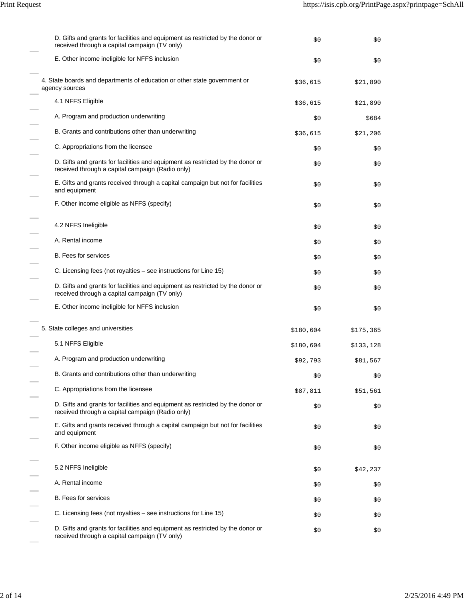| D. Gifts and grants for facilities and equipment as restricted by the donor or<br>received through a capital campaign (TV only)    | \$0       | \$0\$     |
|------------------------------------------------------------------------------------------------------------------------------------|-----------|-----------|
| E. Other income ineligible for NFFS inclusion                                                                                      | \$0\$     | \$0\$     |
| 4. State boards and departments of education or other state government or<br>agency sources                                        | \$36,615  | \$21,890  |
| 4.1 NFFS Eligible                                                                                                                  | \$36,615  | \$21,890  |
| A. Program and production underwriting                                                                                             | \$0       | \$684     |
| B. Grants and contributions other than underwriting                                                                                | \$36,615  | \$21,206  |
| C. Appropriations from the licensee                                                                                                | \$0       | \$0       |
| D. Gifts and grants for facilities and equipment as restricted by the donor or<br>received through a capital campaign (Radio only) | \$0       | \$0       |
| E. Gifts and grants received through a capital campaign but not for facilities<br>and equipment                                    | \$0       | \$0       |
| F. Other income eligible as NFFS (specify)                                                                                         | \$0       | \$0       |
| 4.2 NFFS Ineligible                                                                                                                | \$0       | \$0       |
| A. Rental income                                                                                                                   | \$0       | \$0       |
| <b>B.</b> Fees for services                                                                                                        | \$0       | \$0       |
| C. Licensing fees (not royalties – see instructions for Line 15)                                                                   | \$0       | \$0       |
| D. Gifts and grants for facilities and equipment as restricted by the donor or<br>received through a capital campaign (TV only)    | \$0       | \$0\$     |
| E. Other income ineligible for NFFS inclusion                                                                                      | \$0       | \$0       |
| 5. State colleges and universities                                                                                                 | \$180,604 | \$175,365 |
| 5.1 NFFS Eligible                                                                                                                  | \$180,604 | \$133,128 |
| A. Program and production underwriting                                                                                             | \$92,793  | \$81,567  |
| B. Grants and contributions other than underwriting                                                                                | \$0       | Ş0        |
| C. Appropriations from the licensee                                                                                                | \$87,811  | \$51,561  |
| D. Gifts and grants for facilities and equipment as restricted by the donor or<br>received through a capital campaign (Radio only) | \$0       | \$0\$     |
| E. Gifts and grants received through a capital campaign but not for facilities<br>and equipment                                    | \$0       | \$0       |
| F. Other income eligible as NFFS (specify)                                                                                         | \$0       | \$0       |
| 5.2 NFFS Ineligible                                                                                                                | \$0       | \$42,237  |
| A. Rental income                                                                                                                   | \$0       | \$0       |
| B. Fees for services                                                                                                               | \$0       | \$0       |
| C. Licensing fees (not royalties - see instructions for Line 15)                                                                   | \$0       | \$0       |
| D. Gifts and grants for facilities and equipment as restricted by the donor or<br>received through a capital campaign (TV only)    | \$0       | \$0       |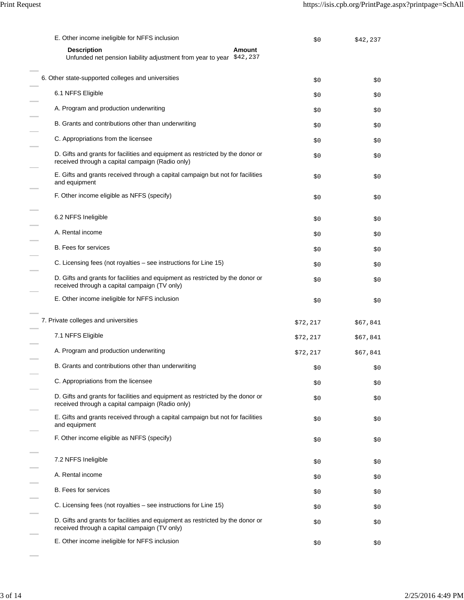| E. Other income ineligible for NFFS inclusion                                                                                      | \$0      | \$42,237 |
|------------------------------------------------------------------------------------------------------------------------------------|----------|----------|
| <b>Description</b><br>Amount<br>Unfunded net pension liability adjustment from year to year \$42, 237                              |          |          |
| 6. Other state-supported colleges and universities                                                                                 | \$0      | \$0\$    |
| 6.1 NFFS Eligible                                                                                                                  | \$0      | \$0      |
| A. Program and production underwriting                                                                                             | \$0      | \$0      |
| B. Grants and contributions other than underwriting                                                                                | \$0      | \$0      |
| C. Appropriations from the licensee                                                                                                | \$0      | \$0      |
| D. Gifts and grants for facilities and equipment as restricted by the donor or<br>received through a capital campaign (Radio only) | \$0      | \$0      |
| E. Gifts and grants received through a capital campaign but not for facilities<br>and equipment                                    | \$0      | \$0      |
| F. Other income eligible as NFFS (specify)                                                                                         | \$0      | \$0      |
| 6.2 NFFS Ineligible                                                                                                                | \$0      | \$0      |
| A. Rental income                                                                                                                   | \$0      | \$0      |
| B. Fees for services                                                                                                               | \$0      | \$0      |
| C. Licensing fees (not royalties – see instructions for Line 15)                                                                   | \$0      | \$0      |
| D. Gifts and grants for facilities and equipment as restricted by the donor or<br>received through a capital campaign (TV only)    | \$0      | \$0      |
| E. Other income ineligible for NFFS inclusion                                                                                      | \$0      | \$0      |
| 7. Private colleges and universities                                                                                               | \$72,217 | \$67,841 |
| 7.1 NFFS Eligible                                                                                                                  | \$72,217 | \$67,841 |
| A. Program and production underwriting                                                                                             | \$72,217 | \$67,841 |
| B. Grants and contributions other than underwriting                                                                                | \$0      | \$0      |
| C. Appropriations from the licensee                                                                                                | \$0      | \$0      |
| D. Gifts and grants for facilities and equipment as restricted by the donor or<br>received through a capital campaign (Radio only) | \$0      | \$0      |
| E. Gifts and grants received through a capital campaign but not for facilities<br>and equipment                                    | \$0      | \$0      |
| F. Other income eligible as NFFS (specify)                                                                                         | \$0      | \$0      |
| 7.2 NFFS Ineligible                                                                                                                | \$0      | \$0      |
| A. Rental income                                                                                                                   | \$0      | \$0      |
| <b>B.</b> Fees for services                                                                                                        | \$0      | \$0      |
| C. Licensing fees (not royalties - see instructions for Line 15)                                                                   | \$0      | \$0      |
| D. Gifts and grants for facilities and equipment as restricted by the donor or<br>received through a capital campaign (TV only)    | \$0      | \$0      |
| E. Other income ineligible for NFFS inclusion                                                                                      | \$0      | \$0      |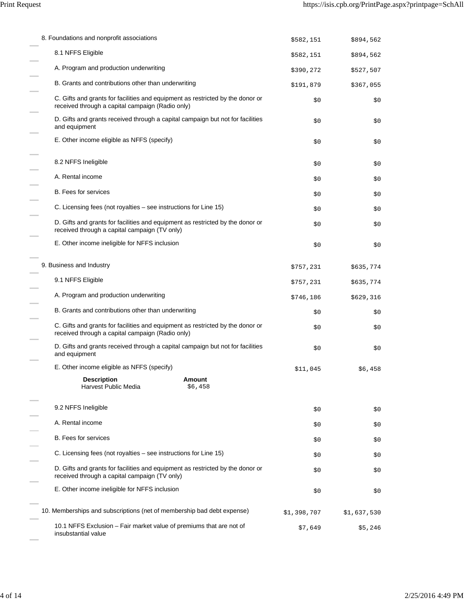| 8. Foundations and nonprofit associations                                                                                          | \$582,151   | \$894,562   |
|------------------------------------------------------------------------------------------------------------------------------------|-------------|-------------|
| 8.1 NFFS Eligible                                                                                                                  | \$582,151   | \$894,562   |
| A. Program and production underwriting                                                                                             | \$390,272   | \$527,507   |
| B. Grants and contributions other than underwriting                                                                                | \$191,879   | \$367,055   |
| C. Gifts and grants for facilities and equipment as restricted by the donor or<br>received through a capital campaign (Radio only) | \$0\$       | \$0         |
| D. Gifts and grants received through a capital campaign but not for facilities<br>and equipment                                    | \$0         | \$0         |
| E. Other income eligible as NFFS (specify)                                                                                         | \$0         | \$0         |
| 8.2 NFFS Ineligible                                                                                                                | \$0         | \$0         |
| A. Rental income                                                                                                                   | \$0         | \$0         |
| B. Fees for services                                                                                                               | \$0         | \$0         |
| C. Licensing fees (not royalties – see instructions for Line 15)                                                                   | \$0         | \$0         |
| D. Gifts and grants for facilities and equipment as restricted by the donor or<br>received through a capital campaign (TV only)    | \$0         | \$0         |
| E. Other income ineligible for NFFS inclusion                                                                                      | \$0         | \$0         |
| 9. Business and Industry                                                                                                           | \$757,231   | \$635,774   |
| 9.1 NFFS Eligible                                                                                                                  | \$757,231   | \$635,774   |
| A. Program and production underwriting                                                                                             | \$746,186   | \$629,316   |
| B. Grants and contributions other than underwriting                                                                                | \$0         | \$0         |
| C. Gifts and grants for facilities and equipment as restricted by the donor or<br>received through a capital campaign (Radio only) | \$0         | \$0         |
| D. Gifts and grants received through a capital campaign but not for facilities<br>and equipment                                    | \$0         | \$0         |
| E. Other income eligible as NFFS (specify)                                                                                         | \$11,045    | \$6,458     |
| <b>Description</b><br>Amount<br>Harvest Public Media<br>\$6,458                                                                    |             |             |
| 9.2 NFFS Ineligible                                                                                                                | \$0\$       | \$0         |
| A. Rental income                                                                                                                   | \$0         | \$0         |
| <b>B.</b> Fees for services                                                                                                        | \$0         | \$0         |
| C. Licensing fees (not royalties – see instructions for Line 15)                                                                   | \$0         | \$0         |
| D. Gifts and grants for facilities and equipment as restricted by the donor or<br>received through a capital campaign (TV only)    | \$0         | \$0         |
| E. Other income ineligible for NFFS inclusion                                                                                      | \$0         | \$0         |
| 10. Memberships and subscriptions (net of membership bad debt expense)                                                             | \$1,398,707 | \$1,637,530 |
| 10.1 NFFS Exclusion - Fair market value of premiums that are not of<br>insubstantial value                                         | \$7,649     | \$5,246     |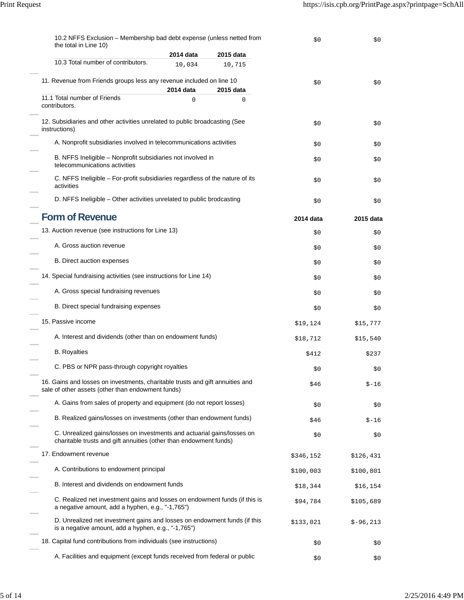| 10.2 NFFS Exclusion - Membership bad debt expense (unless netted from<br>the total in Line 10)                                               |           |           | \$0       | \$0        |
|----------------------------------------------------------------------------------------------------------------------------------------------|-----------|-----------|-----------|------------|
|                                                                                                                                              | 2014 data | 2015 data |           |            |
| 10.3 Total number of contributors.                                                                                                           | 10,034    | 10,715    |           |            |
| 11. Revenue from Friends groups less any revenue included on line 10                                                                         | 2014 data | 2015 data | \$0       | \$0        |
| 11.1 Total number of Friends<br>contributors.                                                                                                | $\Omega$  | 0         |           |            |
| 12. Subsidiaries and other activities unrelated to public broadcasting (See<br>instructions)                                                 |           |           | \$0       | \$0        |
| A. Nonprofit subsidiaries involved in telecommunications activities                                                                          |           |           | \$0       | \$0        |
| B. NFFS Ineligible – Nonprofit subsidiaries not involved in<br>telecommunications activities                                                 |           |           | \$0       | \$0        |
| C. NFFS Ineligible - For-profit subsidiaries regardless of the nature of its<br>activities                                                   |           |           | \$0       | \$0        |
| D. NFFS Ineligible - Other activities unrelated to public brodcasting                                                                        |           |           | \$0       | \$0        |
| <b>Form of Revenue</b>                                                                                                                       |           |           | 2014 data | 2015 data  |
| 13. Auction revenue (see instructions for Line 13)                                                                                           |           |           | \$0       | \$0        |
| A. Gross auction revenue                                                                                                                     |           |           | \$0       | \$0        |
| B. Direct auction expenses                                                                                                                   |           |           | \$0       | \$0        |
| 14. Special fundraising activities (see instructions for Line 14)                                                                            |           | \$0       | \$0       |            |
| A. Gross special fundraising revenues                                                                                                        |           | \$0       | \$0       |            |
| B. Direct special fundraising expenses                                                                                                       |           | \$0       | \$0       |            |
| 15. Passive income                                                                                                                           |           |           | \$19,124  | \$15,777   |
| A. Interest and dividends (other than on endowment funds)                                                                                    |           |           | \$18,712  | \$15,540   |
| <b>B.</b> Royalties                                                                                                                          |           |           | \$412     | \$237      |
| C. PBS or NPR pass-through copyright royalties                                                                                               |           |           | \$0       | \$0        |
| 16. Gains and losses on investments, charitable trusts and gift annuities and<br>sale of other assets (other than endowment funds)           |           |           | \$46      | $$ -16$    |
| A. Gains from sales of property and equipment (do not report losses)                                                                         |           |           | \$0       | \$0        |
| B. Realized gains/losses on investments (other than endowment funds)                                                                         |           |           | \$46      | $$ -16$    |
| C. Unrealized gains/losses on investments and actuarial gains/losses on<br>charitable trusts and gift annuities (other than endowment funds) |           |           | \$0       | \$0        |
| 17. Endowment revenue                                                                                                                        |           |           | \$346,152 | \$126,431  |
| A. Contributions to endowment principal                                                                                                      |           |           | \$100,003 | \$100,801  |
| B. Interest and dividends on endowment funds                                                                                                 |           |           | \$18,344  | \$16,154   |
| C. Realized net investment gains and losses on endowment funds (if this is<br>a negative amount, add a hyphen, e.g., "-1,765")               |           |           | \$94,784  | \$105,689  |
| D. Unrealized net investment gains and losses on endowment funds (if this<br>is a negative amount, add a hyphen, e.g., "-1,765")             |           |           | \$133,021 | $$-96,213$ |
| 18. Capital fund contributions from individuals (see instructions)                                                                           |           |           | \$0       | \$0        |
| A. Facilities and equipment (except funds received from federal or public                                                                    |           |           | \$0       | \$0        |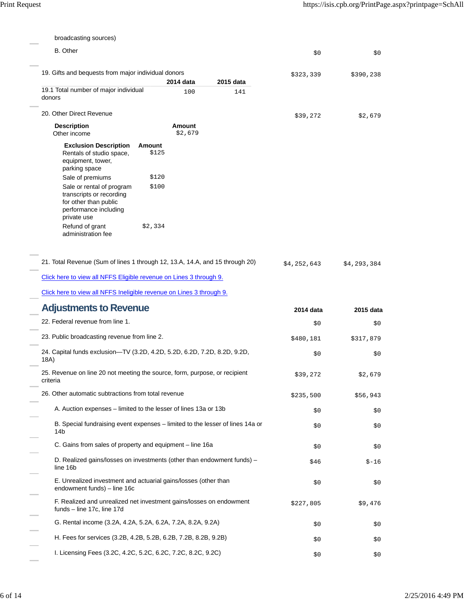| broadcasting sources)                                                                                                  |                          |           |           |           |
|------------------------------------------------------------------------------------------------------------------------|--------------------------|-----------|-----------|-----------|
| B. Other                                                                                                               |                          |           | \$0       | \$0       |
| 19. Gifts and bequests from major individual donors                                                                    |                          |           | \$323,339 | \$390,238 |
|                                                                                                                        | 2014 data                | 2015 data |           |           |
| 19.1 Total number of major individual<br>donors                                                                        | 100                      | 141       |           |           |
| 20. Other Direct Revenue                                                                                               |                          |           | \$39,272  | \$2,679   |
| <b>Description</b><br>Other income                                                                                     | <b>Amount</b><br>\$2,679 |           |           |           |
| <b>Exclusion Description</b><br>Rentals of studio space,<br>equipment, tower,<br>parking space                         | Amount<br>\$125          |           |           |           |
| Sale of premiums                                                                                                       | \$120                    |           |           |           |
| Sale or rental of program<br>transcripts or recording<br>for other than public<br>performance including<br>private use | \$100                    |           |           |           |
| Refund of grant<br>administration fee                                                                                  | \$2,334                  |           |           |           |
| Click here to view all NFFS Ineligible revenue on Lines 3 through 9.<br><b>Adjustments to Revenue</b>                  |                          |           | 2014 data | 2015 data |
| 22. Federal revenue from line 1.                                                                                       |                          |           | \$0       | \$0       |
| 23. Public broadcasting revenue from line 2.                                                                           |                          |           | \$480,181 | \$317,879 |
| 24. Capital funds exclusion-TV (3.2D, 4.2D, 5.2D, 6.2D, 7.2D, 8.2D, 9.2D,<br>18A)                                      |                          |           | \$0       | \$0       |
| 25. Revenue on line 20 not meeting the source, form, purpose, or recipient<br>criteria                                 |                          |           | \$39,272  | \$2,679   |
| 26. Other automatic subtractions from total revenue                                                                    |                          |           | \$235,500 | \$56,943  |
| A. Auction expenses – limited to the lesser of lines 13a or 13b                                                        |                          |           | \$0       | \$0       |
| B. Special fundraising event expenses – limited to the lesser of lines 14a or<br>14b                                   |                          |           | \$0       | \$0       |
| C. Gains from sales of property and equipment - line 16a                                                               |                          |           | \$0       | \$0       |
| D. Realized gains/losses on investments (other than endowment funds) –<br>line 16b                                     |                          |           | \$46      | $$ -16$   |
| E. Unrealized investment and actuarial gains/losses (other than<br>endowment funds) - line 16c                         |                          |           | \$0       | \$0       |
| F. Realized and unrealized net investment gains/losses on endowment<br>funds - line 17c, line 17d                      |                          |           | \$227,805 | \$9,476   |
| G. Rental income (3.2A, 4.2A, 5.2A, 6.2A, 7.2A, 8.2A, 9.2A)                                                            |                          |           |           |           |
|                                                                                                                        |                          |           | \$0       | \$0       |
| H. Fees for services (3.2B, 4.2B, 5.2B, 6.2B, 7.2B, 8.2B, 9.2B)                                                        |                          |           | \$0       | \$0       |

 $\sim$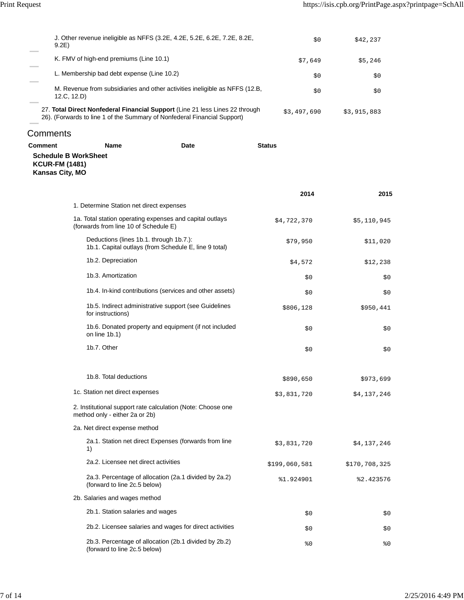| J. Other revenue ineligible as NFFS (3.2E, 4.2E, 5.2E, 6.2E, 7.2E, 8.2E,<br>9.2E)                                                                        | \$0         | \$42,237    |
|----------------------------------------------------------------------------------------------------------------------------------------------------------|-------------|-------------|
| K. FMV of high-end premiums (Line 10.1)                                                                                                                  | \$7,649     | \$5,246     |
| L. Membership bad debt expense (Line 10.2)                                                                                                               | \$0         | \$0         |
| M. Revenue from subsidiaries and other activities ineligible as NFFS (12.B,<br>12.C. 12.D                                                                | \$0         | \$0         |
| 27. Total Direct Nonfederal Financial Support (Line 21 less Lines 22 through<br>26). (Forwards to line 1 of the Summary of Nonfederal Financial Support) | \$3,497,690 | \$3,915,883 |
| Comments                                                                                                                                                 |             |             |

| Comment                                  | <b>Name</b>                                                                                       | Date | <b>Status</b> |               |
|------------------------------------------|---------------------------------------------------------------------------------------------------|------|---------------|---------------|
| <b>KCUR-FM (1481)</b><br>Kansas City, MO | <b>Schedule B WorkSheet</b>                                                                       |      |               |               |
|                                          |                                                                                                   |      | 2014          | 2015          |
|                                          | 1. Determine Station net direct expenses                                                          |      |               |               |
|                                          | 1a. Total station operating expenses and capital outlays<br>(forwards from line 10 of Schedule E) |      | \$4,722,370   | \$5,110,945   |
|                                          | Deductions (lines 1b.1. through 1b.7.):<br>1b.1. Capital outlays (from Schedule E, line 9 total)  |      | \$79,950      | \$11,020      |
|                                          | 1b.2. Depreciation                                                                                |      | \$4,572       | \$12,238      |
|                                          | 1b.3. Amortization                                                                                |      | \$0           | \$0           |
|                                          | 1b.4. In-kind contributions (services and other assets)                                           |      | \$0           | \$0           |
|                                          | 1b.5. Indirect administrative support (see Guidelines<br>for instructions)                        |      | \$806,128     | \$950,441     |
|                                          | 1b.6. Donated property and equipment (if not included<br>on line 1b.1)                            |      | \$0           | \$0           |
|                                          | 1b.7. Other                                                                                       |      | \$0           | \$0           |
|                                          | 1b.8. Total deductions                                                                            |      | \$890,650     | \$973,699     |
|                                          | 1c. Station net direct expenses                                                                   |      | \$3,831,720   | \$4,137,246   |
|                                          | 2. Institutional support rate calculation (Note: Choose one<br>method only - either 2a or 2b)     |      |               |               |
|                                          | 2a. Net direct expense method                                                                     |      |               |               |
|                                          | 2a.1. Station net direct Expenses (forwards from line<br>1)                                       |      | \$3,831,720   | \$4,137,246   |
|                                          | 2a.2. Licensee net direct activities                                                              |      | \$199,060,581 | \$170,708,325 |
|                                          | 2a.3. Percentage of allocation (2a.1 divided by 2a.2)<br>(forward to line 2c.5 below)             |      | %1.924901     | %2.423576     |
|                                          | 2b. Salaries and wages method                                                                     |      |               |               |
|                                          | 2b.1. Station salaries and wages                                                                  |      | \$0           | \$0           |
|                                          | 2b.2. Licensee salaries and wages for direct activities                                           |      | \$0           | \$0           |
|                                          | 2b.3. Percentage of allocation (2b.1 divided by 2b.2)                                             |      | 80            | 80            |

(forward to line 2c.5 below)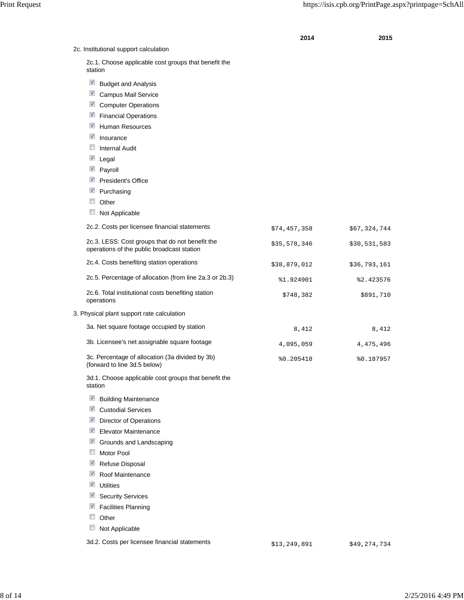**2014 2015**

| 2c. Institutional support calculation                                                         |              |              |
|-----------------------------------------------------------------------------------------------|--------------|--------------|
| 2c.1. Choose applicable cost groups that benefit the<br>station                               |              |              |
| $\blacktriangledown$<br><b>Budget and Analysis</b>                                            |              |              |
| $\blacktriangledown$<br><b>Campus Mail Service</b>                                            |              |              |
| V<br><b>Computer Operations</b>                                                               |              |              |
| $\blacktriangledown$<br><b>Financial Operations</b>                                           |              |              |
| $\blacktriangledown$<br><b>Human Resources</b>                                                |              |              |
| V<br>Insurance                                                                                |              |              |
| $\Box$<br><b>Internal Audit</b>                                                               |              |              |
| $\sqrt{2}$<br>Legal                                                                           |              |              |
| $\blacktriangledown$<br>Payroll                                                               |              |              |
| $\blacktriangledown$<br>President's Office                                                    |              |              |
| $\blacktriangledown$<br>Purchasing                                                            |              |              |
| $\Box$<br>Other                                                                               |              |              |
| Not Applicable                                                                                |              |              |
| 2c.2. Costs per licensee financial statements                                                 | \$74,457,358 | \$67,324,744 |
| 2c.3. LESS: Cost groups that do not benefit the<br>operations of the public broadcast station | \$35,578,346 | \$30,531,583 |
| 2c.4. Costs benefiting station operations                                                     | \$38,879,012 | \$36,793,161 |
| 2c.5. Percentage of allocation (from line 2a.3 or 2b.3)                                       | %1.924901    | %2.423576    |
| 2c.6. Total institutional costs benefiting station<br>operations                              | \$748,382    | \$891,710    |
| 3. Physical plant support rate calculation                                                    |              |              |
| 3a. Net square footage occupied by station                                                    | 8,412        | 8,412        |
| 3b. Licensee's net assignable square footage                                                  | 4,095,059    | 4,475,496    |
| 3c. Percentage of allocation (3a divided by 3b)<br>(forward to line 3d.5 below)               | %0.205418    | %0.187957    |
| 3d.1. Choose applicable cost groups that benefit the<br>station                               |              |              |
| $\blacktriangledown$<br><b>Building Maintenance</b>                                           |              |              |
| $\blacktriangledown$<br><b>Custodial Services</b>                                             |              |              |
| $\blacktriangledown$<br><b>Director of Operations</b>                                         |              |              |
| $\blacktriangledown$<br>Elevator Maintenance                                                  |              |              |
| $\blacktriangledown$<br>Grounds and Landscaping                                               |              |              |
| $\Box$<br>Motor Pool                                                                          |              |              |
| $\blacktriangledown$<br>Refuse Disposal                                                       |              |              |
| $\blacktriangledown$<br>Roof Maintenance                                                      |              |              |
| $\blacktriangledown$<br><b>Utilities</b>                                                      |              |              |
| $\blacktriangledown$<br><b>Security Services</b>                                              |              |              |
| $\blacktriangledown$<br><b>Facilities Planning</b>                                            |              |              |
| Other                                                                                         |              |              |
| Not Applicable                                                                                |              |              |

3d.2. Costs per licensee financial statements  $$13,249,891$  \$49,274,734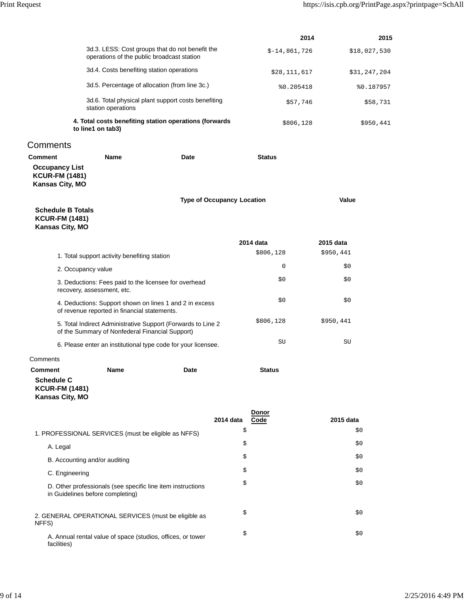**2014 2015**

 $$-14,861,726$   $$18,027,530$ 

|                                                                                        | operations of the public broadcast station                                                                      |                                   |                            |                        |  |
|----------------------------------------------------------------------------------------|-----------------------------------------------------------------------------------------------------------------|-----------------------------------|----------------------------|------------------------|--|
|                                                                                        | 3d.4. Costs benefiting station operations                                                                       |                                   | \$28,111,617               | \$31,247,204           |  |
|                                                                                        | 3d.5. Percentage of allocation (from line 3c.)                                                                  |                                   |                            | %0.187957<br>%0.205418 |  |
|                                                                                        | 3d.6. Total physical plant support costs benefiting<br>station operations                                       |                                   |                            | \$57,746<br>\$58,731   |  |
|                                                                                        | 4. Total costs benefiting station operations (forwards<br>to line1 on tab3)                                     |                                   |                            | \$806,128<br>\$950,441 |  |
| Comments                                                                               |                                                                                                                 |                                   |                            |                        |  |
| <b>Comment</b>                                                                         | <b>Name</b>                                                                                                     | Date                              | <b>Status</b>              |                        |  |
| <b>Occupancy List</b><br><b>KCUR-FM (1481)</b><br>Kansas City, MO                      |                                                                                                                 |                                   |                            |                        |  |
|                                                                                        |                                                                                                                 | <b>Type of Occupancy Location</b> |                            | Value                  |  |
| <b>Schedule B Totals</b><br><b>KCUR-FM (1481)</b><br><b>Kansas City, MO</b>            |                                                                                                                 |                                   |                            |                        |  |
|                                                                                        |                                                                                                                 |                                   | 2014 data                  | 2015 data              |  |
|                                                                                        | 1. Total support activity benefiting station                                                                    |                                   | \$806,128                  | \$950,441              |  |
| 2. Occupancy value                                                                     |                                                                                                                 |                                   | 0                          | \$0                    |  |
|                                                                                        | 3. Deductions: Fees paid to the licensee for overhead<br>recovery, assessment, etc.                             |                                   | \$0                        | \$0                    |  |
|                                                                                        | 4. Deductions: Support shown on lines 1 and 2 in excess<br>of revenue reported in financial statements.         |                                   | \$0                        | \$0                    |  |
|                                                                                        | 5. Total Indirect Administrative Support (Forwards to Line 2<br>of the Summary of Nonfederal Financial Support) |                                   | \$806,128                  | \$950,441              |  |
|                                                                                        | 6. Please enter an institutional type code for your licensee.                                                   |                                   | SU                         | SU                     |  |
| Comments                                                                               |                                                                                                                 |                                   |                            |                        |  |
| <b>Comment</b><br><b>Schedule C</b><br><b>KCUR-FM (1481)</b><br><b>Kansas City, MO</b> | <b>Name</b>                                                                                                     | Date                              | <b>Status</b>              |                        |  |
|                                                                                        |                                                                                                                 |                                   | Donor<br>2014 data<br>Code | 2015 data              |  |
|                                                                                        | 1. PROFESSIONAL SERVICES (must be eligible as NFFS)                                                             |                                   | \$                         | \$0                    |  |
| A. Legal                                                                               |                                                                                                                 |                                   | \$                         | \$0                    |  |
|                                                                                        | B. Accounting and/or auditing                                                                                   |                                   | \$                         | \$0                    |  |
| C. Engineering                                                                         |                                                                                                                 |                                   | \$                         | \$0                    |  |
|                                                                                        | D. Other professionals (see specific line item instructions<br>in Guidelines before completing)                 |                                   | \$                         | \$0                    |  |
| NFFS)                                                                                  | 2. GENERAL OPERATIONAL SERVICES (must be eligible as                                                            |                                   | \$                         | \$0                    |  |
| facilities)                                                                            | A. Annual rental value of space (studios, offices, or tower                                                     |                                   | \$                         | \$0                    |  |

3d.3. LESS: Cost groups that do not benefit the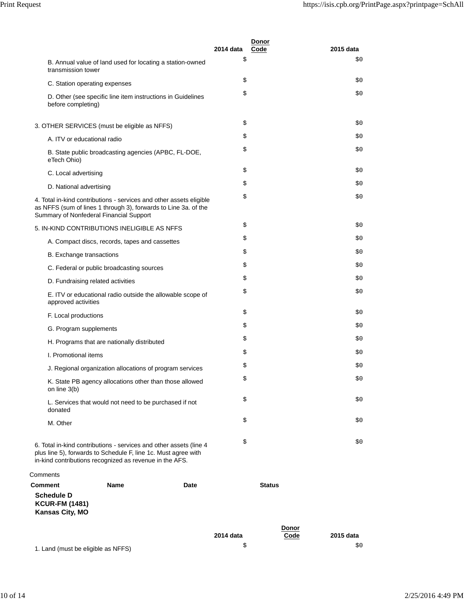|                                            |                                                                                                                                                                                                 | 2014 data | Donor<br>Code | 2015 data |
|--------------------------------------------|-------------------------------------------------------------------------------------------------------------------------------------------------------------------------------------------------|-----------|---------------|-----------|
|                                            | B. Annual value of land used for locating a station-owned<br>transmission tower                                                                                                                 | \$        |               | \$0       |
|                                            | C. Station operating expenses                                                                                                                                                                   | \$        |               | \$0       |
|                                            | D. Other (see specific line item instructions in Guidelines<br>before completing)                                                                                                               | \$        |               | \$0       |
|                                            | 3. OTHER SERVICES (must be eligible as NFFS)                                                                                                                                                    | \$        |               | \$0       |
|                                            | A. ITV or educational radio                                                                                                                                                                     | \$        |               | \$0       |
| eTech Ohio)                                | B. State public broadcasting agencies (APBC, FL-DOE,                                                                                                                                            | \$        |               | \$0       |
|                                            | C. Local advertising                                                                                                                                                                            | \$        |               | \$0       |
|                                            | D. National advertising                                                                                                                                                                         | \$        |               | \$0       |
|                                            | 4. Total in-kind contributions - services and other assets eligible<br>as NFFS (sum of lines 1 through 3), forwards to Line 3a. of the<br>Summary of Nonfederal Financial Support               | \$        |               | \$0       |
|                                            | 5. IN-KIND CONTRIBUTIONS INELIGIBLE AS NFFS                                                                                                                                                     | \$        |               | \$0       |
|                                            | A. Compact discs, records, tapes and cassettes                                                                                                                                                  | \$        |               | \$0       |
|                                            | B. Exchange transactions                                                                                                                                                                        | \$        |               | \$0       |
|                                            | C. Federal or public broadcasting sources                                                                                                                                                       | \$        |               | \$0       |
|                                            | D. Fundraising related activities                                                                                                                                                               | \$        |               | \$0       |
|                                            | E. ITV or educational radio outside the allowable scope of<br>approved activities                                                                                                               | \$        |               | \$0       |
|                                            | F. Local productions                                                                                                                                                                            | \$        |               | \$0       |
|                                            | G. Program supplements                                                                                                                                                                          | \$        |               | \$0       |
|                                            | H. Programs that are nationally distributed                                                                                                                                                     | \$        |               | \$0       |
|                                            | I. Promotional items                                                                                                                                                                            | \$        |               | \$0       |
|                                            | J. Regional organization allocations of program services                                                                                                                                        | \$        |               | \$0       |
| on line 3(b)                               | K. State PB agency allocations other than those allowed                                                                                                                                         | Ş         |               | \$0       |
| donated                                    | L. Services that would not need to be purchased if not                                                                                                                                          | \$        |               | \$0       |
| M. Other                                   |                                                                                                                                                                                                 | \$        |               | \$0       |
|                                            | 6. Total in-kind contributions - services and other assets (line 4<br>plus line 5), forwards to Schedule F, line 1c. Must agree with<br>in-kind contributions recognized as revenue in the AFS. | \$        |               | \$0\$     |
| Comments                                   |                                                                                                                                                                                                 |           |               |           |
| <b>Comment</b>                             | Name<br>Date                                                                                                                                                                                    |           | <b>Status</b> |           |
| <b>Schedule D</b><br><b>KCUR-FM (1481)</b> |                                                                                                                                                                                                 |           |               |           |

**KCUR-FM (1481) Kansas City, MO**

|                                    |           | Donor |           |
|------------------------------------|-----------|-------|-----------|
|                                    | 2014 data | Code  | 2015 data |
| 1. Land (must be eligible as NFFS) |           |       | \$0       |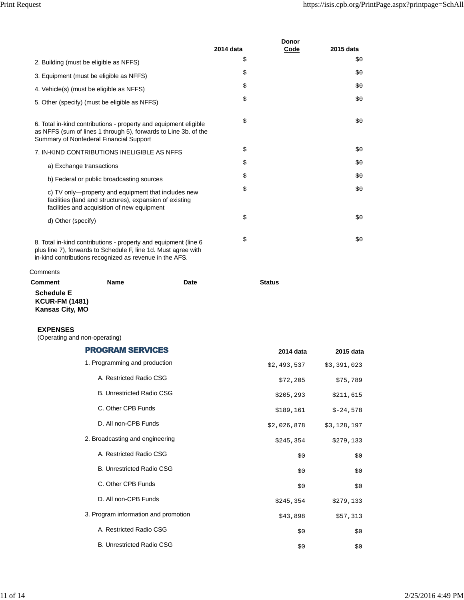|                                                                                                                                                                                |           | Donor |           |
|--------------------------------------------------------------------------------------------------------------------------------------------------------------------------------|-----------|-------|-----------|
|                                                                                                                                                                                | 2014 data | Code  | 2015 data |
| 2. Building (must be eligible as NFFS)                                                                                                                                         | \$        |       | \$0       |
| 3. Equipment (must be eligible as NFFS)                                                                                                                                        | \$        |       | \$0       |
| 4. Vehicle(s) (must be eligible as NFFS)                                                                                                                                       | \$        |       | \$0       |
| 5. Other (specify) (must be eligible as NFFS)                                                                                                                                  | \$        |       | \$0       |
| 6. Total in-kind contributions - property and equipment eligible<br>as NFFS (sum of lines 1 through 5), forwards to Line 3b. of the<br>Summary of Nonfederal Financial Support | \$        |       | \$0\$     |
| 7. IN-KIND CONTRIBUTIONS INELIGIBLE AS NFFS                                                                                                                                    | \$        |       | \$0       |
| a) Exchange transactions                                                                                                                                                       | \$        |       | \$0       |
| b) Federal or public broadcasting sources                                                                                                                                      | \$        |       | \$0       |
| c) TV only—property and equipment that includes new<br>facilities (land and structures), expansion of existing<br>facilities and acquisition of new equipment                  | \$        |       | \$0       |
| d) Other (specify)                                                                                                                                                             | \$        |       | \$0       |
| 8. Total in-kind contributions - property and equipment (line 6                                                                                                                | \$        |       | \$0       |

plus line 7), forwards to Schedule F, line 1d. Must agree with in-kind contributions recognized as revenue in the AFS.

### **Comments**

| Comment                | <b>Name</b> | Date | <b>Status</b> |
|------------------------|-------------|------|---------------|
| <b>Schedule E</b>      |             |      |               |
| <b>KCUR-FM (1481)</b>  |             |      |               |
| <b>Kansas City, MO</b> |             |      |               |

#### **EXPENSES**

(Operating and non-operating)

| <b>PROGRAM SERVICES</b>              | 2014 data   | 2015 data   |
|--------------------------------------|-------------|-------------|
| 1. Programming and production        | \$2,493,537 | \$3,391,023 |
| A. Restricted Radio CSG              | \$72,205    | \$75,789    |
| <b>B. Unrestricted Radio CSG</b>     | \$205, 293  | \$211,615   |
| C. Other CPB Funds                   | \$189,161   | $$-24,578$  |
| D. All non-CPB Funds                 | \$2,026,878 | \$3,128,197 |
| 2. Broadcasting and engineering      | \$245,354   | \$279,133   |
| A. Restricted Radio CSG              | \$0         | \$0         |
| <b>B. Unrestricted Radio CSG</b>     | \$0         | \$0         |
| C. Other CPB Funds                   | \$0         | \$0         |
| D. All non-CPB Funds                 | \$245,354   | \$279,133   |
| 3. Program information and promotion | \$43,898    | \$57,313    |
| A. Restricted Radio CSG              | \$0         | \$0\$       |
| <b>B. Unrestricted Radio CSG</b>     | \$0         | \$0         |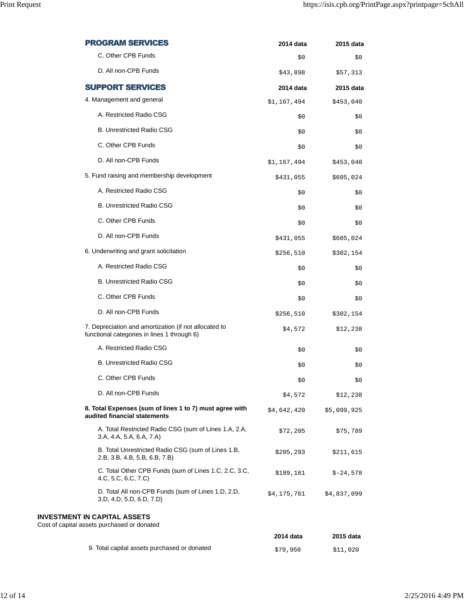| <b>PROGRAM SERVICES</b>                                                                              | 2014 data   | 2015 data   |
|------------------------------------------------------------------------------------------------------|-------------|-------------|
| C. Other CPB Funds                                                                                   | \$0         | \$0         |
| D. All non-CPB Funds                                                                                 | \$43,898    | \$57,313    |
| <b>SUPPORT SERVICES</b>                                                                              | 2014 data   | 2015 data   |
| 4. Management and general                                                                            | \$1,167,494 | \$453,040   |
| A. Restricted Radio CSG                                                                              | \$0         | \$0         |
| <b>B. Unrestricted Radio CSG</b>                                                                     | \$0         | \$0         |
| C. Other CPB Funds                                                                                   | \$0         | \$0         |
| D. All non-CPB Funds                                                                                 | \$1,167,494 | \$453,040   |
| 5. Fund raising and membership development                                                           | \$431,055   | \$605,024   |
| A. Restricted Radio CSG                                                                              | \$0         | \$0         |
| <b>B. Unrestricted Radio CSG</b>                                                                     | \$0         | \$0         |
| C. Other CPB Funds                                                                                   | \$0         | \$0         |
| D. All non-CPB Funds                                                                                 | \$431,055   | \$605,024   |
| 6. Underwriting and grant solicitation                                                               | \$256,510   | \$302,154   |
| A. Restricted Radio CSG                                                                              | \$0         | \$0         |
| <b>B. Unrestricted Radio CSG</b>                                                                     | \$0         | \$0         |
| C. Other CPB Funds                                                                                   | \$0         | \$0         |
| D. All non-CPB Funds                                                                                 | \$256,510   | \$302,154   |
| 7. Depreciation and amortization (if not allocated to<br>functional categories in lines 1 through 6) | \$4,572     | \$12,238    |
| A. Restricted Radio CSG                                                                              | \$0         | \$0         |
| <b>B. Unrestricted Radio CSG</b>                                                                     | \$0         | \$0         |
| C. Other CPB Funds                                                                                   | Ş0          | Ş0          |
| D. All non-CPB Funds                                                                                 | \$4,572     | \$12,238    |
| 8. Total Expenses (sum of lines 1 to 7) must agree with<br>audited financial statements              | \$4,642,420 | \$5,099,925 |
| A. Total Restricted Radio CSG (sum of Lines 1.A, 2.A,<br>3.A, 4.A, 5.A, 6.A, 7.A)                    | \$72,205    | \$75,789    |
| B. Total Unrestricted Radio CSG (sum of Lines 1.B,<br>2.B, 3.B, 4.B, 5.B, 6.B, 7.B)                  | \$205, 293  | \$211,615   |
| C. Total Other CPB Funds (sum of Lines 1.C, 2.C, 3.C,<br>4.C, 5.C, 6.C, 7.C)                         | \$189,161   | $$-24,578$  |
| D. Total All non-CPB Funds (sum of Lines 1.D, 2.D,<br>3.D, 4.D, 5.D, 6.D, 7.D)                       | \$4,175,761 | \$4,837,099 |
| <b>INVESTMENT IN CAPITAL ASSETS</b><br>Cost of capital assets purchased or donated                   |             |             |
|                                                                                                      | 2014 data   | 2015 data   |
| 9. Total capital assets purchased or donated                                                         | \$79,950    | \$11,020    |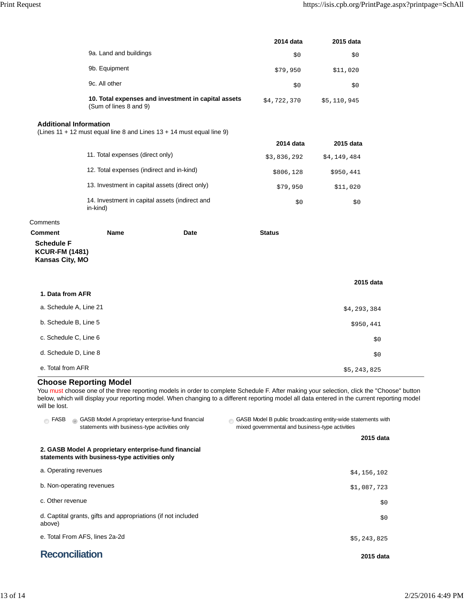|                                                                                 |                                                                               |           | 2014 data     | 2015 data   |
|---------------------------------------------------------------------------------|-------------------------------------------------------------------------------|-----------|---------------|-------------|
|                                                                                 | 9a. Land and buildings                                                        |           | \$0           | \$0         |
|                                                                                 | 9b. Equipment                                                                 |           | \$79,950      | \$11,020    |
|                                                                                 | 9c. All other                                                                 |           | \$0           | \$0         |
|                                                                                 | 10. Total expenses and investment in capital assets<br>(Sum of lines 8 and 9) |           | \$4,722,370   | \$5,110,945 |
| <b>Additional Information</b>                                                   | (Lines 11 + 12 must equal line 8 and Lines 13 + 14 must equal line 9)         |           |               |             |
|                                                                                 |                                                                               |           | 2014 data     | 2015 data   |
|                                                                                 | 11. Total expenses (direct only)                                              |           | \$3,836,292   | \$4,149,484 |
| 12. Total expenses (indirect and in-kind)                                       |                                                                               | \$806,128 | \$950,441     |             |
| 13. Investment in capital assets (direct only)                                  |                                                                               | \$79,950  | \$11,020      |             |
|                                                                                 | 14. Investment in capital assets (indirect and<br>in-kind)                    |           | \$0           | \$0         |
| Comments                                                                        |                                                                               |           |               |             |
| <b>Comment</b><br><b>Schedule F</b><br><b>KCUR-FM (1481)</b><br>Kansas City, MO | <b>Name</b>                                                                   | Date      | <b>Status</b> | 2015 data   |
| 1. Data from AFR                                                                |                                                                               |           |               |             |
| a. Schedule A, Line 21                                                          |                                                                               |           |               | \$4,293,384 |
| b. Schedule B, Line 5                                                           |                                                                               |           |               | \$950,441   |
| c. Schedule C, Line 6                                                           |                                                                               |           |               | \$0         |
| d. Schedule D, Line 8                                                           |                                                                               |           |               | \$0         |

### e. Total from AFR  $$5,243,825$

# **Choose Reporting Model**

You must choose one of the three reporting models in order to complete Schedule F. After making your selection, click the "Choose" button below, which will display your reporting model. When changing to a different reporting model all data entered in the current reporting model will be lost.

| <b>FASB</b><br>GASB Model A proprietary enterprise-fund financial<br>ര<br>statements with business-type activities only | GASB Model B public broadcasting entity-wide statements with<br>mixed governmental and business-type activities |  |
|-------------------------------------------------------------------------------------------------------------------------|-----------------------------------------------------------------------------------------------------------------|--|
|                                                                                                                         | 2015 data                                                                                                       |  |
| 2. GASB Model A proprietary enterprise-fund financial<br>statements with business-type activities only                  |                                                                                                                 |  |
| a. Operating revenues                                                                                                   | \$4,156,102                                                                                                     |  |
| b. Non-operating revenues                                                                                               | \$1,087,723                                                                                                     |  |
| c. Other revenue                                                                                                        | \$0                                                                                                             |  |
| d. Captital grants, gifts and appropriations (if not included<br>above)                                                 | \$0                                                                                                             |  |
| e. Total From AFS, lines 2a-2d                                                                                          | \$5,243,825                                                                                                     |  |
| <b>Reconciliation</b>                                                                                                   | 2015 data                                                                                                       |  |